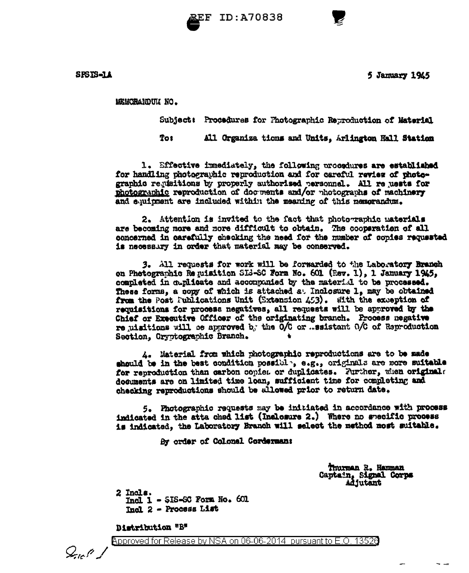



SPSIS-11

5 January 1945

MEMORANDUM NO.

Subject: Procedures for Photographic Reproduction of Material

**Tos** All Organiza tions and Units, Arlington Hall Station

1. Effective immediately, the following procedures are established for handling photographic reproduction and for careful review of photographic regisitions by properly authorized personnel. All reguests for photographic reproduction of documents and/or photographs of machinery and equipment are indluded within the meaning of this memorandum.

2. Attention is invited to the fact that photographic materials are becoming more and more difficult to obtain. The cooperation of all concerned in carefully checking the need for the number of copies requested is necessary in order that material may be conserved.

3. All requests for work will be forwarded to the Laboratory Branch on Photographic Requisition SIS-SC Form No. 601 (Rev. 1), 1 January 1945, completed in duglicate and accompanied by the material to be processed. These forms, a copy of which is attached at Inclosure 1, may be obtained from the Post Publications Unit (Extension 453). With the exception of requisitions for process negatives, all requests will be approved by the Chief or Executive Officer of the originating branch. Process negative re uisitions will be approved by the O/C or ... ssistant O/C of Reproduction Section. Cryptographic Branch.

4. Material from which photographic reproductions are to be made should be in the best condition possible, e.g., originals are more suitable for reproduction than carbon copiet or duplicates. Further, when originals documents are on limited time loan, sufficient time for completing and checking reproductions should be allowed prior to return date.

5. Photographic requests may be initiated in accordance with process indicated in the atta ched list (Inclosure 2.) Where no specific process is indicated, the Laboratory Branch will select the method most suitable.

By order of Colonel Corderman:

Thurman R. Hamman Captain, Signal Corps **Adjutant** 

 $2$  Incls.  $Incl 1 - SIS-SC$  Form No.  $601$ Incl 2 - Process List

Distribution "B"

 $Q_{\rm on}$ l'

Approved for Release by NSA on 06-06-2014 pursuant to E.O. 13526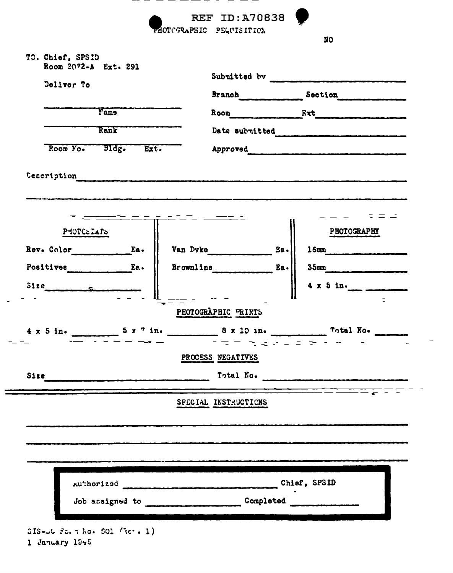

1 January 1945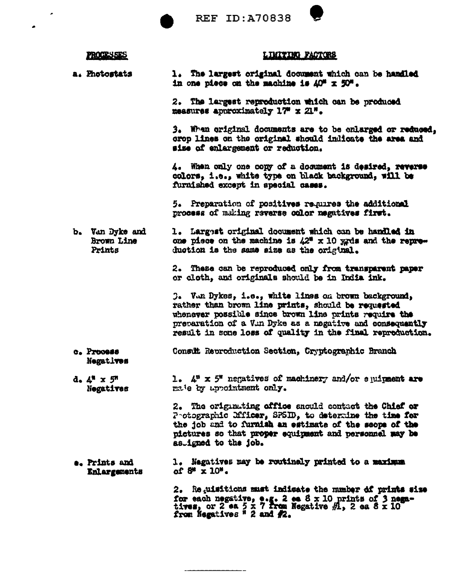**REF ID: A70838** 



|  | <b>PROCESSES</b> |  |
|--|------------------|--|
|  |                  |  |

## <u>LIMITING FACTORS</u>

a. Photostats 1. The largest original document which can be handled in one piece on the machine is  $\Delta O^{\mu} \times 50^{\mu}$ .

> 2. The largest reproduction which can be produced measures approximately 17 x 21".

3. When original documents are to be enlarged or reduced, crop lines on the original should indicate the area and size of enlargement or reduction.

4. When only one copy of a document is desired, reverse colors, i.e., white type on black background, will be furnished except in special cases.

5. Preparation of positives requires the additional process of making reverse color negatives first.

b. Van Dyke and 1. Largest original document which can be handled in one piece on the machine is  $42^{\circ}$  x 10 yrds and the repre-Brown Line Prints duction is the same size as the original.

> 2. These can be reproduced only from transparent paper or cloth, and originals should be in India ink.

3. Van Dykes, i.e., white lines on brown background, rather than brown line prints, should be requested whenever possible since brown line prints require the preparation of a Vin Dyke as a negative and consequently result in some loss of quality in the final reproduction.

- Consult Reproduction Section, Cryptographic Branch c. Process Negatives
- 1.  $4^{\mu} \times 5^{\mu}$  negatives of machinery and/or equipment are  $d. 4'' x 5''$ male by uppointment only. Negatives

2. The originiting office should contact the Chief or Protographic Dfficer, SPSID, to determine the time for the job and to furnish an estimate of the scope of the pictures so that proper equipment and personnel may be as igned to the job.

1. Negatives may be routinely printed to a maximum e. Prints and of 8\* x 10\*. Enlargements

> 2. Reguisitions must indicate the number of prints size for each negative, e.g. 2 es 8 x 10 prints of 3 negatives, or 2 ea 5 x 7 from Negative  $A$ , 2 ea 8 x 10 from Negatives  $\frac{n}{2}$  and  $A$ .